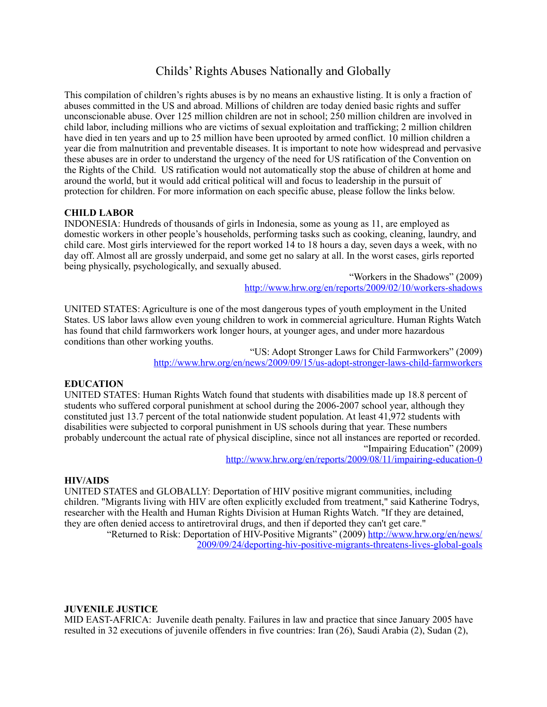# Childs' Rights Abuses Nationally and Globally

This compilation of children's rights abuses is by no means an exhaustive listing. It is only a fraction of abuses committed in the US and abroad. Millions of children are today denied basic rights and suffer unconscionable abuse. Over 125 million children are not in school; 250 million children are involved in child labor, including millions who are victims of sexual exploitation and trafficking; 2 million children have died in ten years and up to 25 million have been uprooted by armed conflict. 10 million children a year die from malnutrition and preventable diseases. It is important to note how widespread and pervasive these abuses are in order to understand the urgency of the need for US ratification of the Convention on the Rights of the Child. US ratification would not automatically stop the abuse of children at home and around the world, but it would add critical political will and focus to leadership in the pursuit of protection for children. For more information on each specific abuse, please follow the links below.

# **CHILD LABOR**

INDONESIA: Hundreds of thousands of girls in Indonesia, some as young as 11, are employed as domestic workers in other people's households, performing tasks such as cooking, cleaning, laundry, and child care. Most girls interviewed for the report worked 14 to 18 hours a day, seven days a week, with no day off. Almost all are grossly underpaid, and some get no salary at all. In the worst cases, girls reported being physically, psychologically, and sexually abused.

> "Workers in the Shadows" (2009) <http://www.hrw.org/en/reports/2009/02/10/workers-shadows>

UNITED STATES: Agriculture is one of the most dangerous types of youth employment in the United States. US labor laws allow even young children to work in commercial agriculture. Human Rights Watch has found that child farmworkers work longer hours, at younger ages, and under more hazardous conditions than other working youths.

> "US: Adopt Stronger Laws for Child Farmworkers" (2009) <http://www.hrw.org/en/news/2009/09/15/us-adopt-stronger-laws-child-farmworkers>

# **EDUCATION**

UNITED STATES: Human Rights Watch found that students with disabilities made up 18.8 percent of students who suffered corporal punishment at school during the 2006-2007 school year, although they constituted just 13.7 percent of the total nationwide student population. At least 41,972 students with disabilities were subjected to corporal punishment in US schools during that year. These numbers probably undercount the actual rate of physical discipline, since not all instances are reported or recorded. "Impairing Education" (2009)

<http://www.hrw.org/en/reports/2009/08/11/impairing-education-0>

#### **HIV/AIDS**

UNITED STATES and GLOBALLY: Deportation of HIV positive migrant communities, including children. "Migrants living with HIV are often explicitly excluded from treatment," said Katherine Todrys, researcher with the Health and Human Rights Division at Human Rights Watch. "If they are detained, they are often denied access to antiretroviral drugs, and then if deported they can't get care."

"Returned to Risk: Deportation of HIV-Positive Migrants" (2009) [http://www.hrw.org/en/news/](http://www.hrw.org/en/news/2009/09/24/deporting-hiv-positive-migrants-threatens-lives-global-goals) [2009/09/24/deporting-hiv-positive-migrants-threatens-lives-global-goals](http://www.hrw.org/en/news/2009/09/24/deporting-hiv-positive-migrants-threatens-lives-global-goals)

#### **JUVENILE JUSTICE**

MID EAST-AFRICA: Juvenile death penalty. Failures in law and practice that since January 2005 have resulted in 32 executions of juvenile offenders in five countries: Iran (26), Saudi Arabia (2), Sudan (2),